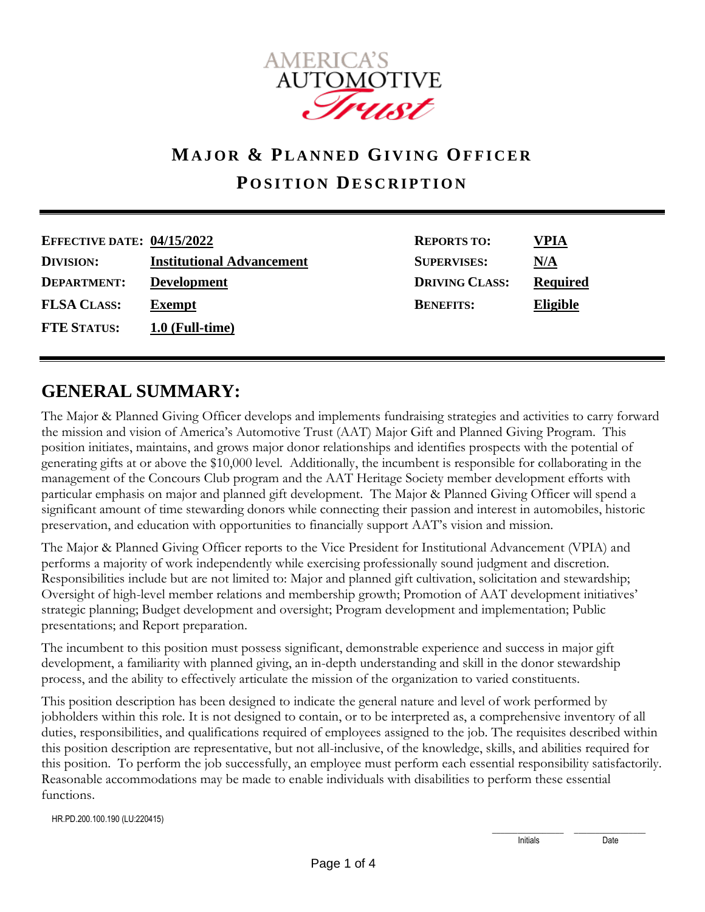

# **MAJOR & PL A N N E D GI VING OFFICER POSITION DESCRIPTION**

| <b>EFFECTIVE DATE: 04/15/2022</b> |                                  | <b>REPORTS TO:</b>    | VPIA            |
|-----------------------------------|----------------------------------|-----------------------|-----------------|
| <b>DIVISION:</b>                  | <b>Institutional Advancement</b> | <b>SUPERVISES:</b>    | N/A             |
| DEPARTMENT:                       | <b>Development</b>               | <b>DRIVING CLASS:</b> | <b>Required</b> |
| <b>FLSA CLASS:</b>                | <b>Exempt</b>                    | <b>BENEFITS:</b>      | <b>Eligible</b> |
| <b>FTE STATUS:</b>                | $1.0$ (Full-time)                |                       |                 |

## **GENERAL SUMMARY:**

The Major & Planned Giving Officer develops and implements fundraising strategies and activities to carry forward the mission and vision of America's Automotive Trust (AAT) Major Gift and Planned Giving Program. This position initiates, maintains, and grows major donor relationships and identifies prospects with the potential of generating gifts at or above the \$10,000 level. Additionally, the incumbent is responsible for collaborating in the management of the Concours Club program and the AAT Heritage Society member development efforts with particular emphasis on major and planned gift development. The Major & Planned Giving Officer will spend a significant amount of time stewarding donors while connecting their passion and interest in automobiles, historic preservation, and education with opportunities to financially support AAT's vision and mission.

The Major & Planned Giving Officer reports to the Vice President for Institutional Advancement (VPIA) and performs a majority of work independently while exercising professionally sound judgment and discretion. Responsibilities include but are not limited to: Major and planned gift cultivation, solicitation and stewardship; Oversight of high-level member relations and membership growth; Promotion of AAT development initiatives' strategic planning; Budget development and oversight; Program development and implementation; Public presentations; and Report preparation.

The incumbent to this position must possess significant, demonstrable experience and success in major gift development, a familiarity with planned giving, an in-depth understanding and skill in the donor stewardship process, and the ability to effectively articulate the mission of the organization to varied constituents.

This position description has been designed to indicate the general nature and level of work performed by jobholders within this role. It is not designed to contain, or to be interpreted as, a comprehensive inventory of all duties, responsibilities, and qualifications required of employees assigned to the job. The requisites described within this position description are representative, but not all-inclusive, of the knowledge, skills, and abilities required for this position. To perform the job successfully, an employee must perform each essential responsibility satisfactorily. Reasonable accommodations may be made to enable individuals with disabilities to perform these essential functions.

HR.PD.200.100.190 (LU:220415)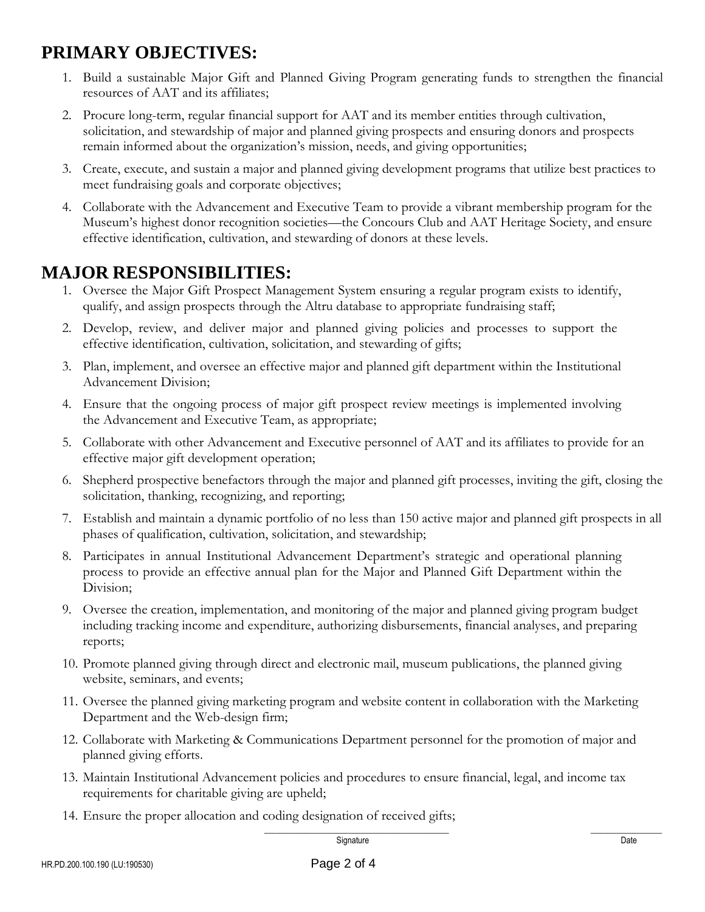## **PRIMARY OBJECTIVES:**

- 1. Build a sustainable Major Gift and Planned Giving Program generating funds to strengthen the financial resources of AAT and its affiliates;
- 2. Procure long-term, regular financial support for AAT and its member entities through cultivation, solicitation, and stewardship of major and planned giving prospects and ensuring donors and prospects remain informed about the organization's mission, needs, and giving opportunities;
- 3. Create, execute, and sustain a major and planned giving development programs that utilize best practices to meet fundraising goals and corporate objectives;
- 4. Collaborate with the Advancement and Executive Team to provide a vibrant membership program for the Museum's highest donor recognition societies—the Concours Club and AAT Heritage Society, and ensure effective identification, cultivation, and stewarding of donors at these levels.

## **MAJOR RESPONSIBILITIES:**

- 1. Oversee the Major Gift Prospect Management System ensuring a regular program exists to identify, qualify, and assign prospects through the Altru database to appropriate fundraising staff;
- 2. Develop, review, and deliver major and planned giving policies and processes to support the effective identification, cultivation, solicitation, and stewarding of gifts;
- 3. Plan, implement, and oversee an effective major and planned gift department within the Institutional Advancement Division;
- 4. Ensure that the ongoing process of major gift prospect review meetings is implemented involving the Advancement and Executive Team, as appropriate;
- 5. Collaborate with other Advancement and Executive personnel of AAT and its affiliates to provide for an effective major gift development operation;
- 6. Shepherd prospective benefactors through the major and planned gift processes, inviting the gift, closing the solicitation, thanking, recognizing, and reporting;
- 7. Establish and maintain a dynamic portfolio of no less than 150 active major and planned gift prospects in all phases of qualification, cultivation, solicitation, and stewardship;
- 8. Participates in annual Institutional Advancement Department's strategic and operational planning process to provide an effective annual plan for the Major and Planned Gift Department within the Division;
- 9. Oversee the creation, implementation, and monitoring of the major and planned giving program budget including tracking income and expenditure, authorizing disbursements, financial analyses, and preparing reports;
- 10. Promote planned giving through direct and electronic mail, museum publications, the planned giving website, seminars, and events;
- 11. Oversee the planned giving marketing program and website content in collaboration with the Marketing Department and the Web-design firm;
- 12. Collaborate with Marketing & Communications Department personnel for the promotion of major and planned giving efforts.
- 13. Maintain Institutional Advancement policies and procedures to ensure financial, legal, and income tax requirements for charitable giving are upheld;
- 14. Ensure the proper allocation and coding designation of received gifts;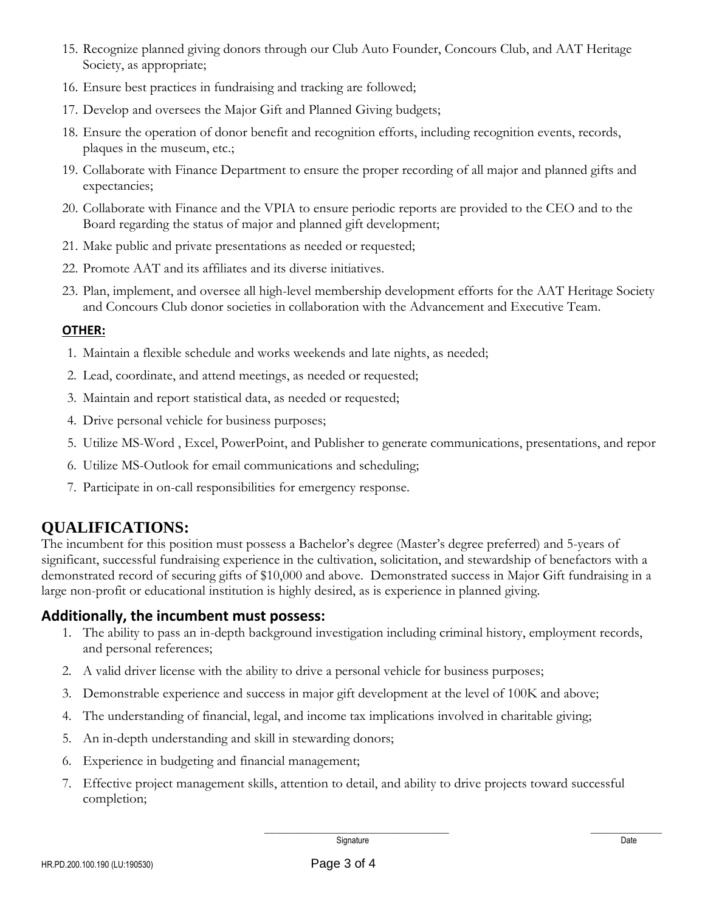- 15. Recognize planned giving donors through our Club Auto Founder, Concours Club, and AAT Heritage Society, as appropriate;
- 16. Ensure best practices in fundraising and tracking are followed;
- 17. Develop and oversees the Major Gift and Planned Giving budgets;
- 18. Ensure the operation of donor benefit and recognition efforts, including recognition events, records, plaques in the museum, etc.;
- 19. Collaborate with Finance Department to ensure the proper recording of all major and planned gifts and expectancies;
- 20. Collaborate with Finance and the VPIA to ensure periodic reports are provided to the CEO and to the Board regarding the status of major and planned gift development;
- 21. Make public and private presentations as needed or requested;
- 22. Promote AAT and its affiliates and its diverse initiatives.
- 23. Plan, implement, and oversee all high-level membership development efforts for the AAT Heritage Society and Concours Club donor societies in collaboration with the Advancement and Executive Team.

#### **OTHER:**

- 1. Maintain a flexible schedule and works weekends and late nights, as needed;
- 2. Lead, coordinate, and attend meetings, as needed or requested;
- 3. Maintain and report statistical data, as needed or requested;
- 4. Drive personal vehicle for business purposes;
- 5. Utilize MS-Word , Excel, PowerPoint, and Publisher to generate communications, presentations, and repor
- 6. Utilize MS-Outlook for email communications and scheduling;
- 7. Participate in on-call responsibilities for emergency response.

### **QUALIFICATIONS:**

The incumbent for this position must possess a Bachelor's degree (Master's degree preferred) and 5-years of significant, successful fundraising experience in the cultivation, solicitation, and stewardship of benefactors with a demonstrated record of securing gifts of \$10,000 and above. Demonstrated success in Major Gift fundraising in a large non-profit or educational institution is highly desired, as is experience in planned giving.

#### **Additionally, the incumbent must possess:**

- 1. The ability to pass an in-depth background investigation including criminal history, employment records, and personal references;
- 2. A valid driver license with the ability to drive a personal vehicle for business purposes;
- 3. Demonstrable experience and success in major gift development at the level of 100K and above;
- 4. The understanding of financial, legal, and income tax implications involved in charitable giving;
- 5. An in-depth understanding and skill in stewarding donors;
- 6. Experience in budgeting and financial management;
- 7. Effective project management skills, attention to detail, and ability to drive projects toward successful completion;